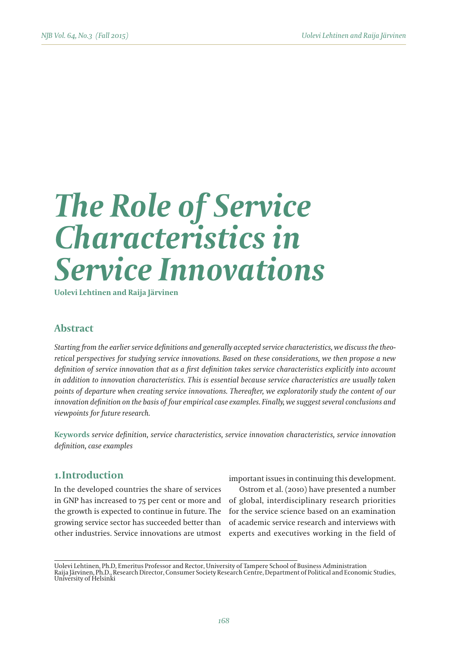# *The Role of Service Characteristics in Service Innovations*

**Uolevi Lehtinen and Raija Järvinen**

# **Abstract**

*Starting from the earlier service definitions and generally accepted service characteristics, we discuss the theoretical perspectives for studying service innovations. Based on these considerations, we then propose a new definition of service innovation that as a first definition takes service characteristics explicitly into account in addition to innovation characteristics. This is essential because service characteristics are usually taken points of departure when creating service innovations. Thereafter, we exploratorily study the content of our innovation definition on the basis of four empirical case examples. Finally, we suggest several conclusions and viewpoints for future research.*

**Keywords** *service definition, service characteristics, service innovation characteristics, service innovation definition, case examples* 

# **1.Introduction**

In the developed countries the share of services in GNP has increased to 75 per cent or more and the growth is expected to continue in future. The growing service sector has succeeded better than other industries. Service innovations are utmost important issues in continuing this development.

Ostrom et al. (2010) have presented a number of global, interdisciplinary research priorities for the service science based on an examination of academic service research and interviews with experts and executives working in the field of

Uolevi Lehtinen, Ph.D, Emeritus Professor and Rector, University of Tampere School of Business Administration Raija Järvinen, Ph.D., Research Director, Consumer Society Research Centre, Department of Political and Economic Studies, University of Helsinki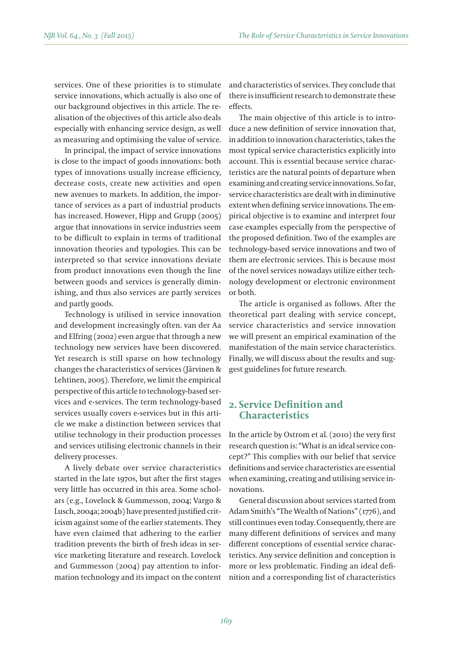services. One of these priorities is to stimulate service innovations, which actually is also one of our background objectives in this article. The realisation of the objectives of this article also deals especially with enhancing service design, as well as measuring and optimising the value of service.

In principal, the impact of service innovations is close to the impact of goods innovations: both types of innovations usually increase efficiency, decrease costs, create new activities and open new avenues to markets. In addition, the importance of services as a part of industrial products has increased. However, Hipp and Grupp (2005) argue that innovations in service industries seem to be difficult to explain in terms of traditional innovation theories and typologies. This can be interpreted so that service innovations deviate from product innovations even though the line between goods and services is generally diminishing, and thus also services are partly services and partly goods.

Technology is utilised in service innovation and development increasingly often. van der Aa and Elfring (2002) even argue that through a new technology new services have been discovered. Yet research is still sparse on how technology changes the characteristics of services (Järvinen & Lehtinen, 2005). Therefore, we limit the empirical perspective of this article to technology-based services and e-services. The term technology-based services usually covers e-services but in this article we make a distinction between services that utilise technology in their production processes and services utilising electronic channels in their delivery processes.

A lively debate over service characteristics started in the late 1970s, but after the first stages very little has occurred in this area. Some scholars (e.g., Lovelock & Gummesson, 2004; Vargo & Lusch, 2004a; 2004b) have presented justified criticism against some of the earlier statements. They have even claimed that adhering to the earlier tradition prevents the birth of fresh ideas in service marketing literature and research. Lovelock and Gummesson (2004) pay attention to information technology and its impact on the content and characteristics of services. They conclude that there is insufficient research to demonstrate these effects.

The main objective of this article is to introduce a new definition of service innovation that, in addition to innovation characteristics, takes the most typical service characteristics explicitly into account. This is essential because service characteristics are the natural points of departure when examining and creating service innovations. So far, service characteristics are dealt with in diminutive extent when defining service innovations. The empirical objective is to examine and interpret four case examples especially from the perspective of the proposed definition. Two of the examples are technology-based service innovations and two of them are electronic services. This is because most of the novel services nowadays utilize either technology development or electronic environment or both.

The article is organised as follows. After the theoretical part dealing with service concept, service characteristics and service innovation we will present an empirical examination of the manifestation of the main service characteristics. Finally, we will discuss about the results and suggest guidelines for future research.

# **2. Service Definition and Characteristics**

In the article by Ostrom et al. (2010) the very first research question is: "What is an ideal service concept?" This complies with our belief that service definitions and service characteristics are essential when examining, creating and utilising service innovations.

General discussion about services started from Adam Smith's "The Wealth of Nations" (1776), and still continues even today. Consequently, there are many different definitions of services and many different conceptions of essential service characteristics. Any service definition and conception is more or less problematic. Finding an ideal definition and a corresponding list of characteristics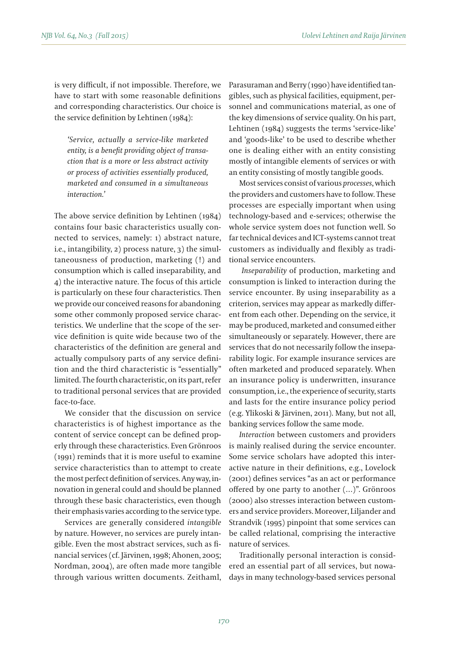is very difficult, if not impossible. Therefore, we have to start with some reasonable definitions and corresponding characteristics. Our choice is the service definition by Lehtinen (1984):

*'Service, actually a service-like marketed entity, is a benefit providing object of transaction that is a more or less abstract activity or process of activities essentially produced, marketed and consumed in a simultaneous interaction.'*

The above service definition by Lehtinen (1984) contains four basic characteristics usually connected to services, namely: 1) abstract nature, i.e., intangibility, 2) process nature, 3) the simultaneousness of production, marketing (!) and consumption which is called inseparability, and 4) the interactive nature. The focus of this article is particularly on these four characteristics. Then we provide our conceived reasons for abandoning some other commonly proposed service characteristics. We underline that the scope of the service definition is quite wide because two of the characteristics of the definition are general and actually compulsory parts of any service definition and the third characteristic is "essentially" limited. The fourth characteristic, on its part, refer to traditional personal services that are provided face-to-face.

We consider that the discussion on service characteristics is of highest importance as the content of service concept can be defined properly through these characteristics. Even Grönroos (1991) reminds that it is more useful to examine service characteristics than to attempt to create the most perfect definition of services. Any way, innovation in general could and should be planned through these basic characteristics, even though their emphasis varies according to the service type.

Services are generally considered *intangible* by nature. However, no services are purely intangible. Even the most abstract services, such as financial services (cf. Järvinen, 1998; Ahonen, 2005; Nordman, 2004), are often made more tangible through various written documents. Zeithaml, Parasuraman and Berry (1990) have identified tangibles, such as physical facilities, equipment, personnel and communications material, as one of the key dimensions of service quality. On his part, Lehtinen (1984) suggests the terms 'service-like' and 'goods-like' to be used to describe whether one is dealing either with an entity consisting mostly of intangible elements of services or with an entity consisting of mostly tangible goods.

Most services consist of various *processes*, which the providers and customers have to follow. These processes are especially important when using technology-based and e-services; otherwise the whole service system does not function well. So far technical devices and ICT-systems cannot treat customers as individually and flexibly as traditional service encounters.

*Inseparability* of production, marketing and consumption is linked to interaction during the service encounter. By using inseparability as a criterion, services may appear as markedly different from each other. Depending on the service, it may be produced, marketed and consumed either simultaneously or separately. However, there are services that do not necessarily follow the inseparability logic. For example insurance services are often marketed and produced separately. When an insurance policy is underwritten, insurance consumption, i.e., the experience of security, starts and lasts for the entire insurance policy period (e.g. Ylikoski & Järvinen, 2011). Many, but not all, banking services follow the same mode.

*Interaction* between customers and providers is mainly realised during the service encounter. Some service scholars have adopted this interactive nature in their definitions, e.g., Lovelock (2001) defines services "as an act or performance offered by one party to another (…)". Grönroos (2000) also stresses interaction between customers and service providers. Moreover, Liljander and Strandvik (1995) pinpoint that some services can be called relational, comprising the interactive nature of services.

Traditionally personal interaction is considered an essential part of all services, but nowadays in many technology-based services personal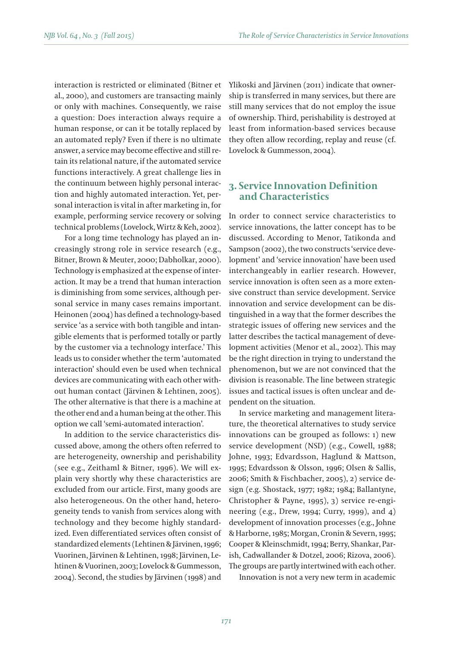interaction is restricted or eliminated (Bitner et al., 2000), and customers are transacting mainly or only with machines. Consequently, we raise a question: Does interaction always require a human response, or can it be totally replaced by an automated reply? Even if there is no ultimate answer, a service may become effective and still retain its relational nature, if the automated service functions interactively. A great challenge lies in the continuum between highly personal interaction and highly automated interaction. Yet, personal interaction is vital in after marketing in, for example, performing service recovery or solving technical problems (Lovelock, Wirtz & Keh, 2002).

For a long time technology has played an increasingly strong role in service research (e.g., Bitner, Brown & Meuter, 2000; Dabholkar, 2000). Technology is emphasized at the expense of interaction. It may be a trend that human interaction is diminishing from some services, although personal service in many cases remains important. Heinonen (2004) has defined a technology-based service 'as a service with both tangible and intangible elements that is performed totally or partly by the customer via a technology interface.' This leads us to consider whether the term 'automated interaction' should even be used when technical devices are communicating with each other without human contact (Järvinen & Lehtinen, 2005). The other alternative is that there is a machine at the other end and a human being at the other. This option we call 'semi-automated interaction'.

In addition to the service characteristics discussed above, among the others often referred to are heterogeneity, ownership and perishability (see e.g., Zeithaml & Bitner, 1996). We will explain very shortly why these characteristics are excluded from our article. First, many goods are also heterogeneous. On the other hand, heterogeneity tends to vanish from services along with technology and they become highly standardized. Even differentiated services often consist of standardized elements (Lehtinen & Järvinen, 1996; Vuorinen, Järvinen & Lehtinen, 1998; Järvinen, Lehtinen & Vuorinen, 2003; Lovelock & Gummesson, 2004). Second, the studies by Järvinen (1998) and Ylikoski and Järvinen (2011) indicate that ownership is transferred in many services, but there are still many services that do not employ the issue of ownership. Third, perishability is destroyed at least from information-based services because they often allow recording, replay and reuse (cf. Lovelock & Gummesson, 2004).

## **3. Service Innovation Definition and Characteristics**

In order to connect service characteristics to service innovations, the latter concept has to be discussed. According to Menor, Tatikonda and Sampson (2002), the two constructs 'service development' and 'service innovation' have been used interchangeably in earlier research. However, service innovation is often seen as a more extensive construct than service development. Service innovation and service development can be distinguished in a way that the former describes the strategic issues of offering new services and the latter describes the tactical management of development activities (Menor et al., 2002). This may be the right direction in trying to understand the phenomenon, but we are not convinced that the division is reasonable. The line between strategic issues and tactical issues is often unclear and dependent on the situation.

In service marketing and management literature, the theoretical alternatives to study service innovations can be grouped as follows: 1) new service development (NSD) (e.g., Cowell, 1988; Johne, 1993; Edvardsson, Haglund & Mattson, 1995; Edvardsson & Olsson, 1996; Olsen & Sallis, 2006; Smith & Fischbacher, 2005), 2) service design (e.g. Shostack, 1977; 1982; 1984; Ballantyne, Christopher & Payne, 1995), 3) service re-engineering (e.g., Drew, 1994; Curry, 1999), and 4) development of innovation processes (e.g., Johne & Harborne, 1985; Morgan, Cronin & Severn, 1995; Cooper & Kleinschmidt, 1994; Berry, Shankar, Parish, Cadwallander & Dotzel, 2006; Rizova, 2006). The groups are partly intertwined with each other.

Innovation is not a very new term in academic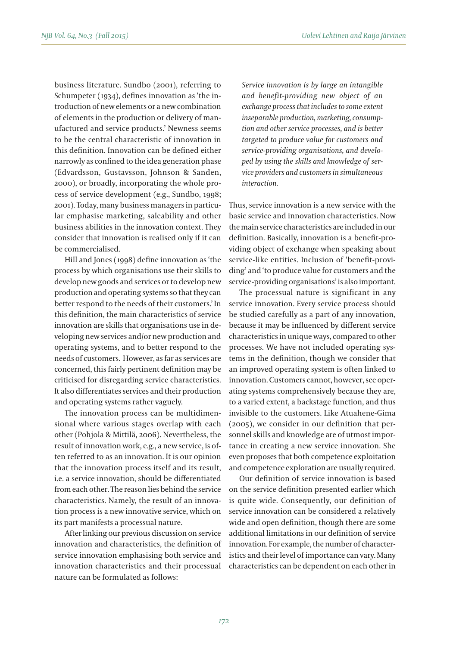business literature. Sundbo (2001), referring to Schumpeter (1934), defines innovation as 'the introduction of new elements or a new combination of elements in the production or delivery of manufactured and service products.' Newness seems to be the central characteristic of innovation in this definition. Innovation can be defined either narrowly as confined to the idea generation phase (Edvardsson, Gustavsson, Johnson & Sanden, 2000), or broadly, incorporating the whole process of service development (e.g., Sundbo, 1998; 2001). Today, many business managers in particular emphasise marketing, saleability and other business abilities in the innovation context. They consider that innovation is realised only if it can be commercialised.

Hill and Jones (1998) define innovation as 'the process by which organisations use their skills to develop new goods and services or to develop new production and operating systems so that they can better respond to the needs of their customers.' In this definition, the main characteristics of service innovation are skills that organisations use in developing new services and/or new production and operating systems, and to better respond to the needs of customers. However, as far as services are concerned, this fairly pertinent definition may be criticised for disregarding service characteristics. It also differentiates services and their production and operating systems rather vaguely.

The innovation process can be multidimensional where various stages overlap with each other (Pohjola & Mittilä, 2006). Nevertheless, the result of innovation work, e.g., a new service, is often referred to as an innovation. It is our opinion that the innovation process itself and its result, i.e. a service innovation, should be differentiated from each other. The reason lies behind the service characteristics. Namely, the result of an innovation process is a new innovative service, which on its part manifests a processual nature.

After linking our previous discussion on service innovation and characteristics, the definition of service innovation emphasising both service and innovation characteristics and their processual nature can be formulated as follows:

*Service innovation is by large an intangible and benefit-providing new object of an exchange process that includes to some extent inseparable production, marketing, consumption and other service processes, and is better targeted to produce value for customers and service-providing organisations, and developed by using the skills and knowledge of service providers and customers in simultaneous interaction.* 

Thus, service innovation is a new service with the basic service and innovation characteristics. Now the main service characteristics are included in our definition. Basically, innovation is a benefit-providing object of exchange when speaking about service-like entities. Inclusion of 'benefit-providing' and 'to produce value for customers and the service-providing organisations' is also important.

The processual nature is significant in any service innovation. Every service process should be studied carefully as a part of any innovation, because it may be influenced by different service characteristics in unique ways, compared to other processes. We have not included operating systems in the definition, though we consider that an improved operating system is often linked to innovation. Customers cannot, however, see operating systems comprehensively because they are, to a varied extent, a backstage function, and thus invisible to the customers. Like Atuahene-Gima (2005), we consider in our definition that personnel skills and knowledge are of utmost importance in creating a new service innovation. She even proposes that both competence exploitation and competence exploration are usually required.

Our definition of service innovation is based on the service definition presented earlier which is quite wide. Consequently, our definition of service innovation can be considered a relatively wide and open definition, though there are some additional limitations in our definition of service innovation. For example, the number of characteristics and their level of importance can vary. Many characteristics can be dependent on each other in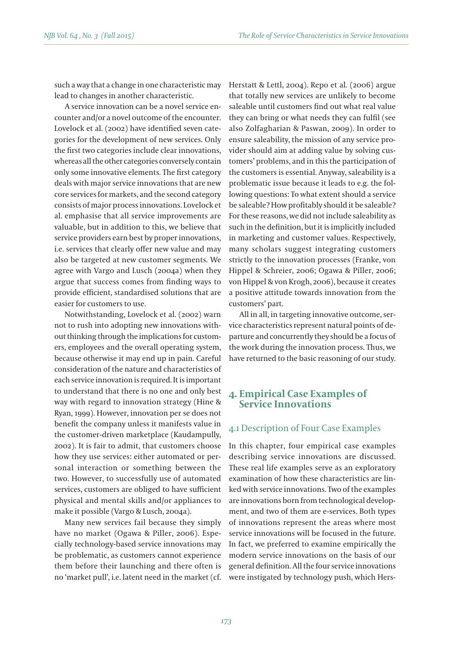such a way that a change in one characteristic may lead to changes in another characteristic.

A service innovation can be a novel service encounter and/or a novel outcome of the encounter. Lovelock et al. (2002) have identified seven categories for the development of new services. Only the first two categories include clear innovations, whereas all the other categories conversely contain only some innovative elements. The first category deals with major service innovations that are new core services for markets, and the second category consists of major process innovations. Lovelock et al. emphasise that all service improvements are valuable, but in addition to this, we believe that service providers earn best by proper innovations, i.e. services that clearly offer new value and may also be targeted at new customer segments. We agree with Vargo and Lusch (2004a) when they argue that success comes from finding ways to provide efficient, standardised solutions that are easier for customers to use.

Notwithstanding, Lovelock et al. (2002) warn not to rush into adopting new innovations without thinking through the implications for customers, employees and the overall operating system, because otherwise it may end up in pain. Careful consideration of the nature and characteristics of each service innovation is required. It is important to understand that there is no one and only best way with regard to innovation strategy (Hine & Ryan, 1999). However, innovation per se does not benefit the company unless it manifests value in the customer-driven marketplace (Kaudampully, 2002). It is fair to admit, that customers choose how they use services: either automated or personal interaction or something between the two. However, to successfully use of automated services, customers are obliged to have sufficient physical and mental skills and/or appliances to make it possible (Vargo & Lusch, 2004a).

Many new services fail because they simply have no market (Ogawa & Piller, 2006). Especially technology-based service innovations may be problematic, as customers cannot experience them before their launching and there often is no 'market pull', i.e. latent need in the market (cf. Herstatt & Lettl, 2004). Repo et al. (2006) argue that totally new services are unlikely to become saleable until customers find out what real value they can bring or what needs they can fulfil (see also Zolfagharian & Paswan, 2009). In order to ensure saleability, the mission of any service provider should aim at adding value by solving customers' problems, and in this the participation of the customers is essential. Anyway, saleability is a problematic issue because it leads to e.g. the following questions: To what extent should a service be saleable? How profitably should it be saleable? For these reasons, we did not include saleability as such in the definition, but it is implicitly included in marketing and customer values. Respectively, many scholars suggest integrating customers strictly to the innovation processes (Franke, von Hippel & Schreier, 2006; Ogawa & Piller, 2006; von Hippel & von Krogh, 2006), because it creates a positive attitude towards innovation from the customers' part.

All in all, in targeting innovative outcome, service characteristics represent natural points of departure and concurrently they should be a focus of the work during the innovation process. Thus, we have returned to the basic reasoning of our study.

# **4. Empirical Case Examples of Service Innovations**

### 4.1 Description of Four Case Examples

In this chapter, four empirical case examples describing service innovations are discussed. These real life examples serve as an exploratory examination of how these characteristics are linked with service innovations. Two of the examples are innovations born from technological development, and two of them are e-services. Both types of innovations represent the areas where most service innovations will be focused in the future. In fact, we preferred to examine empirically the modern service innovations on the basis of our general definition. All the four service innovations were instigated by technology push, which Hers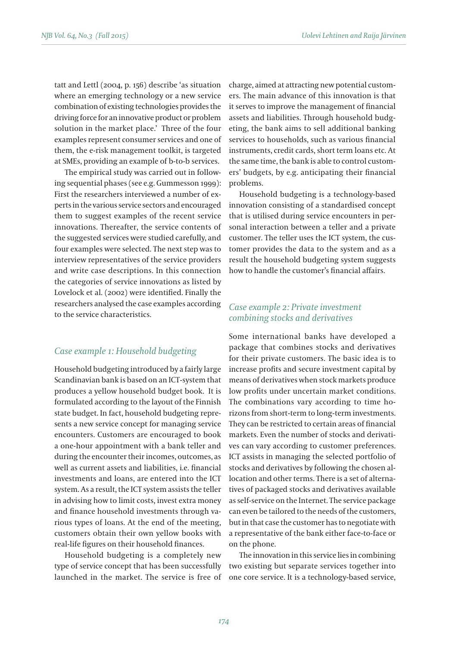tatt and Lettl (2004, p. 156) describe 'as situation where an emerging technology or a new service combination of existing technologies provides the driving force for an innovative product or problem solution in the market place.' Three of the four examples represent consumer services and one of them, the e-risk management toolkit, is targeted at SMEs, providing an example of b-to-b services.

The empirical study was carried out in following sequential phases (see e.g. Gummesson 1999): First the researchers interviewed a number of experts in the various service sectors and encouraged them to suggest examples of the recent service innovations. Thereafter, the service contents of the suggested services were studied carefully, and four examples were selected. The next step was to interview representatives of the service providers and write case descriptions. In this connection the categories of service innovations as listed by Lovelock et al. (2002) were identified. Finally the researchers analysed the case examples according to the service characteristics.

#### *Case example 1: Household budgeting*

Household budgeting introduced by a fairly large Scandinavian bank is based on an ICT-system that produces a yellow household budget book. It is formulated according to the layout of the Finnish state budget. In fact, household budgeting represents a new service concept for managing service encounters. Customers are encouraged to book a one-hour appointment with a bank teller and during the encounter their incomes, outcomes, as well as current assets and liabilities, i.e. financial investments and loans, are entered into the ICT system. As a result, the ICT system assists the teller in advising how to limit costs, invest extra money and finance household investments through various types of loans. At the end of the meeting, customers obtain their own yellow books with real-life figures on their household finances.

Household budgeting is a completely new type of service concept that has been successfully launched in the market. The service is free of

charge, aimed at attracting new potential customers. The main advance of this innovation is that it serves to improve the management of financial assets and liabilities. Through household budgeting, the bank aims to sell additional banking services to households, such as various financial instruments, credit cards, short term loans etc. At the same time, the bank is able to control customers' budgets, by e.g. anticipating their financial problems.

Household budgeting is a technology-based innovation consisting of a standardised concept that is utilised during service encounters in personal interaction between a teller and a private customer. The teller uses the ICT system, the customer provides the data to the system and as a result the household budgeting system suggests how to handle the customer's financial affairs.

#### *Case example 2: Private investment combining stocks and derivatives*

Some international banks have developed a package that combines stocks and derivatives for their private customers. The basic idea is to increase profits and secure investment capital by means of derivatives when stock markets produce low profits under uncertain market conditions. The combinations vary according to time horizons from short-term to long-term investments. They can be restricted to certain areas of financial markets. Even the number of stocks and derivatives can vary according to customer preferences. ICT assists in managing the selected portfolio of stocks and derivatives by following the chosen allocation and other terms. There is a set of alternatives of packaged stocks and derivatives available as self-service on the Internet. The service package can even be tailored to the needs of the customers, but in that case the customer has to negotiate with a representative of the bank either face-to-face or on the phone.

The innovation in this service lies in combining two existing but separate services together into one core service. It is a technology-based service,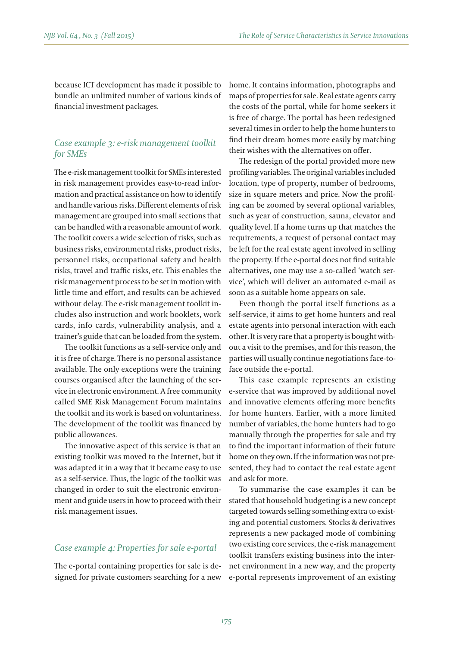because ICT development has made it possible to bundle an unlimited number of various kinds of financial investment packages.

# *Case example 3: e-risk management toolkit for SMEs*

The e-risk management toolkit for SMEs interested in risk management provides easy-to-read information and practical assistance on how to identify and handle various risks. Different elements of risk management are grouped into small sections that can be handled with a reasonable amount of work. The toolkit covers a wide selection of risks, such as business risks, environmental risks, product risks, personnel risks, occupational safety and health risks, travel and traffic risks, etc. This enables the risk management process to be set in motion with little time and effort, and results can be achieved without delay. The e-risk management toolkit includes also instruction and work booklets, work cards, info cards, vulnerability analysis, and a trainer's guide that can be loaded from the system.

The toolkit functions as a self-service only and it is free of charge. There is no personal assistance available. The only exceptions were the training courses organised after the launching of the service in electronic environment. A free community called SME Risk Management Forum maintains the toolkit and its work is based on voluntariness. The development of the toolkit was financed by public allowances.

The innovative aspect of this service is that an existing toolkit was moved to the Internet, but it was adapted it in a way that it became easy to use as a self-service. Thus, the logic of the toolkit was changed in order to suit the electronic environment and guide users in how to proceed with their risk management issues.

#### *Case example 4: Properties for sale e-portal*

The e-portal containing properties for sale is designed for private customers searching for a new home. It contains information, photographs and maps of properties for sale. Real estate agents carry the costs of the portal, while for home seekers it is free of charge. The portal has been redesigned several times in order to help the home hunters to find their dream homes more easily by matching their wishes with the alternatives on offer.

The redesign of the portal provided more new profiling variables. The original variables included location, type of property, number of bedrooms, size in square meters and price. Now the profiling can be zoomed by several optional variables, such as year of construction, sauna, elevator and quality level. If a home turns up that matches the requirements, a request of personal contact may be left for the real estate agent involved in selling the property. If the e-portal does not find suitable alternatives, one may use a so-called 'watch service', which will deliver an automated e-mail as soon as a suitable home appears on sale.

Even though the portal itself functions as a self-service, it aims to get home hunters and real estate agents into personal interaction with each other. It is very rare that a property is bought without a visit to the premises, and for this reason, the parties will usually continue negotiations face-toface outside the e-portal.

This case example represents an existing e-service that was improved by additional novel and innovative elements offering more benefits for home hunters. Earlier, with a more limited number of variables, the home hunters had to go manually through the properties for sale and try to find the important information of their future home on they own. If the information was not presented, they had to contact the real estate agent and ask for more.

To summarise the case examples it can be stated that household budgeting is a new concept targeted towards selling something extra to existing and potential customers. Stocks & derivatives represents a new packaged mode of combining two existing core services, the e-risk management toolkit transfers existing business into the internet environment in a new way, and the property e-portal represents improvement of an existing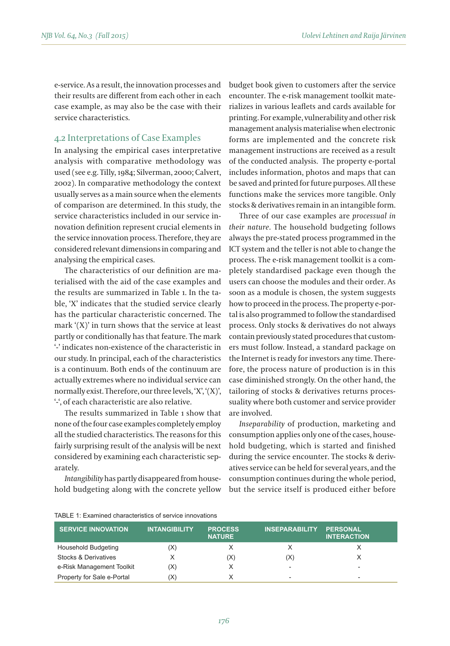e-service. As a result, the innovation processes and their results are different from each other in each case example, as may also be the case with their service characteristics.

#### 4.2 Interpretations of Case Examples

In analysing the empirical cases interpretative analysis with comparative methodology was used (see e.g. Tilly, 1984; Silverman, 2000; Calvert, 2002). In comparative methodology the context usually serves as a main source when the elements of comparison are determined. In this study, the service characteristics included in our service innovation definition represent crucial elements in the service innovation process. Therefore, they are considered relevant dimensions in comparing and analysing the empirical cases.

The characteristics of our definition are materialised with the aid of the case examples and the results are summarized in Table 1. In the table, 'X' indicates that the studied service clearly has the particular characteristic concerned. The mark '(X)' in turn shows that the service at least partly or conditionally has that feature. The mark '-' indicates non-existence of the characteristic in our study. In principal, each of the characteristics is a continuum. Both ends of the continuum are actually extremes where no individual service can normally exist. Therefore, our three levels, 'X', '(X)', '-', of each characteristic are also relative.

The results summarized in Table 1 show that none of the four case examples completely employ all the studied characteristics. The reasons for this fairly surprising result of the analysis will be next considered by examining each characteristic separately.

*Intangibility* has partly disappeared from household budgeting along with the concrete yellow

budget book given to customers after the service encounter. The e-risk management toolkit materializes in various leaflets and cards available for printing. For example, vulnerability and other risk management analysis materialise when electronic forms are implemented and the concrete risk management instructions are received as a result of the conducted analysis. The property e-portal includes information, photos and maps that can be saved and printed for future purposes. All these functions make the services more tangible. Only stocks & derivatives remain in an intangible form.

Three of our case examples are *processual in their nature*. The household budgeting follows always the pre-stated process programmed in the ICT system and the teller is not able to change the process. The e-risk management toolkit is a completely standardised package even though the users can choose the modules and their order. As soon as a module is chosen, the system suggests how to proceed in the process. The property e-portal is also programmed to follow the standardised process. Only stocks & derivatives do not always contain previously stated procedures that customers must follow. Instead, a standard package on the Internet is ready for investors any time. Therefore, the process nature of production is in this case diminished strongly. On the other hand, the tailoring of stocks & derivatives returns processuality where both customer and service provider are involved.

*Inseparability* of production, marketing and consumption applies only one of the cases, household budgeting, which is started and finished during the service encounter. The stocks & derivatives service can be held for several years, and the consumption continues during the whole period, but the service itself is produced either before

| <b>SERVICE INNOVATION</b>  | <b>INTANGIBILITY</b> | <b>PROCESS</b><br><b>NATURE</b> | <b>INSEPARABILITY</b>    | <b>PERSONAL</b><br><b>INTERACTION</b> |
|----------------------------|----------------------|---------------------------------|--------------------------|---------------------------------------|
| <b>Household Budgeting</b> | (X)                  |                                 |                          |                                       |
| Stocks & Derivatives       |                      | (X)                             | (X)                      |                                       |
| e-Risk Management Toolkit  | (X)                  | X                               | -                        | ۰                                     |
| Property for Sale e-Portal | 'X)                  |                                 | $\overline{\phantom{a}}$ | ۰                                     |

#### TABLE 1: Examined characteristics of service innovations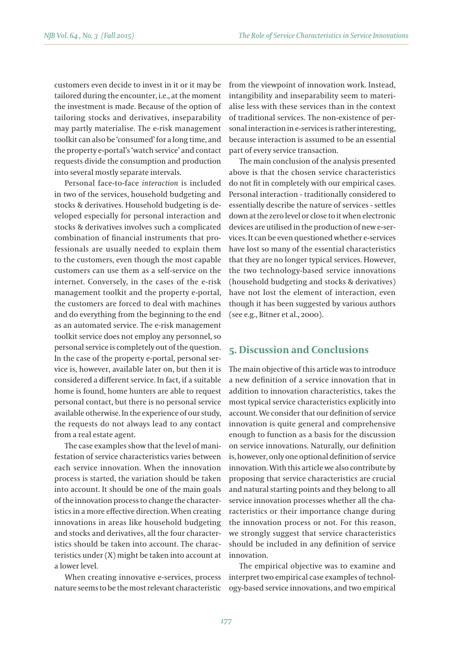customers even decide to invest in it or it may be tailored during the encounter, i.e., at the moment the investment is made. Because of the option of tailoring stocks and derivatives, inseparability may partly materialise. The e-risk management toolkit can also be 'consumed' for a long time, and the property e-portal's 'watch service' and contact requests divide the consumption and production into several mostly separate intervals.

Personal face-to-face *interaction* is included in two of the services, household budgeting and stocks & derivatives. Household budgeting is developed especially for personal interaction and stocks & derivatives involves such a complicated combination of financial instruments that professionals are usually needed to explain them to the customers, even though the most capable customers can use them as a self-service on the internet. Conversely, in the cases of the e-risk management toolkit and the property e-portal, the customers are forced to deal with machines and do everything from the beginning to the end as an automated service. The e-risk management toolkit service does not employ any personnel, so personal service is completely out of the question. In the case of the property e-portal, personal service is, however, available later on, but then it is considered a different service. In fact, if a suitable home is found, home hunters are able to request personal contact, but there is no personal service available otherwise. In the experience of our study, the requests do not always lead to any contact from a real estate agent.

The case examples show that the level of manifestation of service characteristics varies between each service innovation. When the innovation process is started, the variation should be taken into account. It should be one of the main goals of the innovation process to change the characteristics in a more effective direction. When creating innovations in areas like household budgeting and stocks and derivatives, all the four characteristics should be taken into account. The characteristics under (X) might be taken into account at a lower level.

When creating innovative e-services, process nature seems to be the most relevant characteristic from the viewpoint of innovation work. Instead, intangibility and inseparability seem to materialise less with these services than in the context of traditional services. The non-existence of personal interaction in e-services is rather interesting, because interaction is assumed to be an essential part of every service transaction.

The main conclusion of the analysis presented above is that the chosen service characteristics do not fit in completely with our empirical cases. Personal interaction - traditionally considered to essentially describe the nature of services - settles down at the zero level or close to it when electronic devices are utilised in the production of new e-services. It can be even questioned whether e-services have lost so many of the essential characteristics that they are no longer typical services. However, the two technology-based service innovations (household budgeting and stocks & derivatives) have not lost the element of interaction, even though it has been suggested by various authors (see e.g., Bitner et al., 2000).

# **5. Discussion and Conclusions**

The main objective of this article was to introduce a new definition of a service innovation that in addition to innovation characteristics, takes the most typical service characteristics explicitly into account. We consider that our definition of service innovation is quite general and comprehensive enough to function as a basis for the discussion on service innovations. Naturally, our definition is, however, only one optional definition of service innovation. With this article we also contribute by proposing that service characteristics are crucial and natural starting points and they belong to all service innovation processes whether all the characteristics or their importance change during the innovation process or not. For this reason, we strongly suggest that service characteristics should be included in any definition of service innovation.

The empirical objective was to examine and interpret two empirical case examples of technology-based service innovations, and two empirical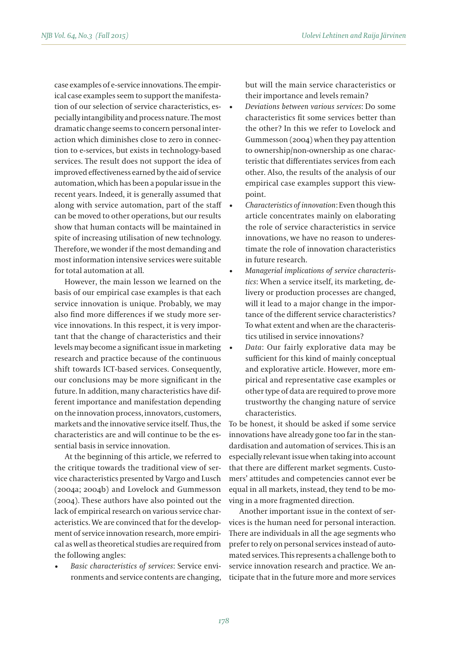case examples of e-service innovations. The empirical case examples seem to support the manifestation of our selection of service characteristics, especially intangibility and process nature. The most dramatic change seems to concern personal interaction which diminishes close to zero in connection to e-services, but exists in technology-based services. The result does not support the idea of improved effectiveness earned by the aid of service automation, which has been a popular issue in the recent years. Indeed, it is generally assumed that along with service automation, part of the staff can be moved to other operations, but our results show that human contacts will be maintained in spite of increasing utilisation of new technology. Therefore, we wonder if the most demanding and most information intensive services were suitable for total automation at all.

However, the main lesson we learned on the basis of our empirical case examples is that each service innovation is unique. Probably, we may also find more differences if we study more service innovations. In this respect, it is very important that the change of characteristics and their levels may become a significant issue in marketing research and practice because of the continuous shift towards ICT-based services. Consequently, our conclusions may be more significant in the future. In addition, many characteristics have different importance and manifestation depending on the innovation process, innovators, customers, markets and the innovative service itself. Thus, the characteristics are and will continue to be the essential basis in service innovation.

At the beginning of this article, we referred to the critique towards the traditional view of service characteristics presented by Vargo and Lusch (2004a; 2004b) and Lovelock and Gummesson (2004). These authors have also pointed out the lack of empirical research on various service characteristics. We are convinced that for the development of service innovation research, more empirical as well as theoretical studies are required from the following angles:

Basic characteristics of services: Service environments and service contents are changing, but will the main service characteristics or their importance and levels remain?

- • *Deviations between various services*: Do some characteristics fit some services better than the other? In this we refer to Lovelock and Gummesson (2004) when they pay attention to ownership/non-ownership as one characteristic that differentiates services from each other. Also, the results of the analysis of our empirical case examples support this viewpoint.
- • *Characteristics of innovation*: Even though this article concentrates mainly on elaborating the role of service characteristics in service innovations, we have no reason to underestimate the role of innovation characteristics in future research.
- Managerial implications of service characteris*tics*: When a service itself, its marketing, delivery or production processes are changed, will it lead to a major change in the importance of the different service characteristics? To what extent and when are the characteristics utilised in service innovations?
- Data: Our fairly explorative data may be sufficient for this kind of mainly conceptual and explorative article. However, more empirical and representative case examples or other type of data are required to prove more trustworthy the changing nature of service characteristics.

To be honest, it should be asked if some service innovations have already gone too far in the standardisation and automation of services. This is an especially relevant issue when taking into account that there are different market segments. Customers' attitudes and competencies cannot ever be equal in all markets, instead, they tend to be moving in a more fragmented direction.

Another important issue in the context of services is the human need for personal interaction. There are individuals in all the age segments who prefer to rely on personal services instead of automated services. This represents a challenge both to service innovation research and practice. We anticipate that in the future more and more services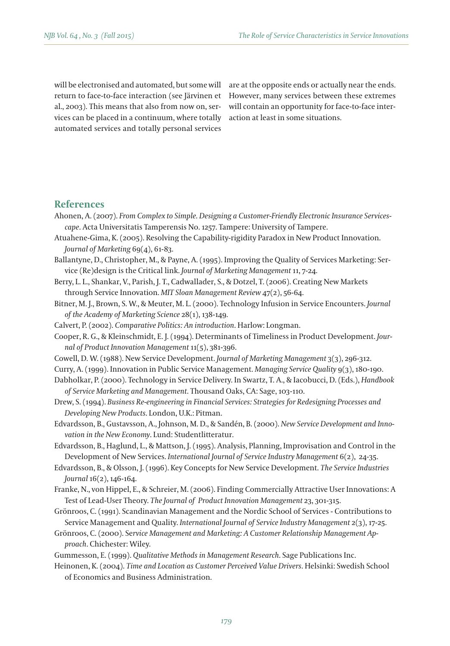will be electronised and automated, but some will return to face-to-face interaction (see Järvinen et al., 2003). This means that also from now on, services can be placed in a continuum, where totally automated services and totally personal services

are at the opposite ends or actually near the ends. However, many services between these extremes will contain an opportunity for face-to-face interaction at least in some situations.

#### **References**

- Ahonen, A. (2007). *From Complex to Simple. Designing a Customer-Friendly Electronic Insurance Servicescape*. Acta Universitatis Tamperensis No. 1257. Tampere: University of Tampere.
- Atuahene-Gima, K. (2005). Resolving the Capability-rigidity Paradox in New Product Innovation. *Journal of Marketing* 69(4), 61-83.
- Ballantyne, D., Christopher, M., & Payne, A. (1995). Improving the Quality of Services Marketing: Service (Re)design is the Critical link. *Journal of Marketing Management* 11, 7-24.
- Berry, L. L., Shankar, V., Parish, J. T., Cadwallader, S., & Dotzel, T. (2006). Creating New Markets through Service Innovation. *MIT Sloan Management Review* 47(2), 56-64.
- Bitner, M. J., Brown, S. W., & Meuter, M. L. (2000). Technology Infusion in Service Encounters. *Journal of the Academy of Marketing Science* 28(1), 138-149.
- Calvert, P. (2002). *Comparative Politics: An introduction*. Harlow: Longman.
- Cooper, R. G., & Kleinschmidt, E. J. (1994). Determinants of Timeliness in Product Development. *Journal of Product Innovation Management* 11(5), 381-396.
- Cowell, D. W. (1988). New Service Development. *Journal of Marketing Management* 3(3), 296-312.
- Curry, A. (1999). Innovation in Public Service Management. *Managing Service Quality* 9(3), 180-190.
- Dabholkar, P. (2000). Technology in Service Delivery. In Swartz, T. A., & Iacobucci, D. (Eds.), *Handbook of Service Marketing and Management*. Thousand Oaks, CA: Sage, 103-110.
- Drew, S. (1994). *Business Re-engineering in Financial Services: Strategies for Redesigning Processes and Developing New Products*. London, U.K.: Pitman.
- Edvardsson, B., Gustavsson, A., Johnson, M. D., & Sandén, B. (2000). *New Service Development and Innovation in the New Economy*. Lund: Studentlitteratur.
- Edvardsson, B., Haglund, L., & Mattson, J. (1995). Analysis, Planning, Improvisation and Control in the Development of New Services. *International Journal of Service Industry Management* 6(2), 24-35.
- Edvardsson, B., & Olsson, J. (1996). Key Concepts for New Service Development. *The Service Industries Journal* 16(2), 146-164.
- Franke, N., von Hippel, E., & Schreier, M. (2006). Finding Commercially Attractive User Innovations: A Test of Lead-User Theory. *The Journal of Product Innovation Management* 23, 301-315.
- Grönroos, C. (1991). Scandinavian Management and the Nordic School of Services Contributions to Service Management and Quality. *International Journal of Service Industry Management* 2(3), 17-25.
- Grönroos, C. (2000). Se*rvice Management and Marketing: A Customer Relationship Management Approach*. Chichester: Wiley.
- Gummesson, E. (1999). *Qualitative Methods in Management Research*. Sage Publications Inc.
- Heinonen, K. (2004). *Time and Location as Customer Perceived Value Drivers*. Helsinki: Swedish School of Economics and Business Administration.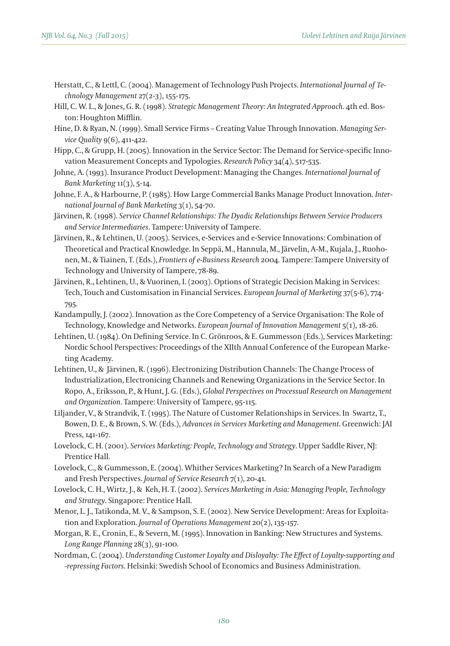- Herstatt, C., & Lettl, C. (2004). Management of Technology Push Projects. *International Journal of Technology Management* 27(2-3), 155-175.
- Hill, C. W. L., & Jones, G. R. (1998). *Strategic Management Theory: An Integrated Approach*. 4th ed. Boston: Houghton Mifflin.
- Hine, D. & Ryan, N. (1999). Small Service Firms Creating Value Through Innovation. *Managing Service Quality* 9(6), 411-422.
- Hipp, C., & Grupp, H. (2005). Innovation in the Service Sector: The Demand for Service-specific Innovation Measurement Concepts and Typologies. *Research Policy* 34(4), 517-535.
- Johne, A. (1993). Insurance Product Development: Managing the Changes. *International Journal of Bank Marketing* 11(3), 5-14.
- Johne, F. A., & Harbourne, P. (1985). How Large Commercial Banks Manage Product Innovation. *International Journal of Bank Marketing* 3(1), 54-70.
- Järvinen, R. (1998). *Service Channel Relationships: The Dyadic Relationships Between Service Producers and Service Intermediaries*. Tampere: University of Tampere.
- Järvinen, R., & Lehtinen, U. (2005). Services, e-Services and e-Service Innovations: Combination of Theoretical and Practical Knowledge. In Seppä, M., Hannula, M., Järvelin, A-M., Kujala, J., Ruohonen, M., & Tiainen, T. (Eds.), *Frontiers of e-Business Research* 2004. Tampere: Tampere University of Technology and University of Tampere, 78-89.
- Järvinen, R., Lehtinen, U., & Vuorinen, I. (2003). Options of Strategic Decision Making in Services: Tech, Touch and Customisation in Financial Services. *European Journal of Marketing* 37(5-6), 774- 795.
- Kandampully, J. (2002). Innovation as the Core Competency of a Service Organisation: The Role of Technology, Knowledge and Networks. *European Journal of Innovation Management* 5(1), 18-26.
- Lehtinen, U. (1984). On Defining Service. In C. Grönroos, & E. Gummesson (Eds.), Services Marketing: Nordic School Perspectives: Proceedings of the XIIth Annual Conference of the European Marketing Academy.
- Lehtinen, U., & Järvinen, R. (1996). Electronizing Distribution Channels: The Change Process of Industrialization, Electronicing Channels and Renewing Organizations in the Service Sector. In Ropo, A., Eriksson, P., & Hunt, J. G. (Eds.), *Global Perspectives on Processual Research on Management and Organization*. Tampere: University of Tampere, 95-115.
- Liljander, V., & Strandvik, T. (1995). The Nature of Customer Relationships in Services. In Swartz, T., Bowen, D. E., & Brown, S. W. (Eds.), *Advances in Services Marketing and Management*. Greenwich: JAI Press, 141-167.
- Lovelock, C. H. (2001). *Services Marketing: People, Technology and Strategy*. Upper Saddle River, NJ: Prentice Hall.
- Lovelock, C., & Gummesson, E. (2004). Whither Services Marketing? In Search of a New Paradigm and Fresh Perspectives. *Journal of Service Research* 7(1), 20-41.
- Lovelock, C. H., Wirtz, J., & Keh, H. T. (2002). *Services Marketing in Asia: Managing People, Technology and Strategy*. Singapore: Prentice Hall.
- Menor, L. J., Tatikonda, M. V., & Sampson, S. E. (2002). New Service Development: Areas for Exploitation and Exploration. *Journal of Operations Management* 20(2), 135-157.
- Morgan, R. E., Cronin, E., & Severn, M. (1995). Innovation in Banking: New Structures and Systems. *Long Range Planning* 28(3), 91-100.
- Nordman, C. (2004). *Understanding Customer Loyalty and Disloyalty: The Effect of Loyalty-supporting and -repressing Factors*. Helsinki: Swedish School of Economics and Business Administration.